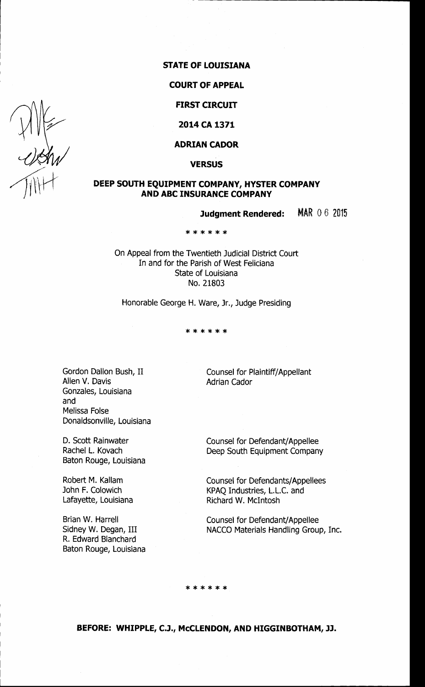### **STATE OF LOUISIANA**

#### **COURT OF APPEAL**

**FIRST CIRCUIT** 

# **2014CA1371**

#### **ADRIAN CADOR**

**VERSUS** 

## **DEEP SOUTH EQUIPMENT COMPANY, HYSTER COMPANY AND ABC INSURANCE COMPANY**

**Judgment Rendered:** MAR 0 6 <sup>2015</sup>

\*\*\*\*\*\*

On Appeal from the Twentieth Judicial District Court In and for the Parish of West Feliciana State of Louisiana No. 21803

Honorable George H. Ware, Jr., Judge Presiding

\*\*\*\*\*\*

Gordon Dallon Bush, II Allen V. Davis Gonzales, Louisiana and Melissa Folse Donaldsonville, Louisiana

D. Scott Rainwater Rachel L. Kovach Baton Rouge, Louisiana

Robert M. Kallam John F. Colowich Lafayette, Louisiana

Brian W. Harrell Sidney W. Degan, III R. Edward Blanchard Baton Rouge, Louisiana Counsel for Plaintiff/Appellant Adrian Cador

Counsel for Defendant/ Appellee Deep South Equipment Company

Counsel for Defendants/ Appellees KPAQ Industries, L.L.C. and Richard W. Mcintosh

Counsel for Defendant/Appellee NACCO Materials Handling Group, Inc.

\*\*\*\*\*\*

**BEFORE: WHIPPLE, C.J., McCLENDON, AND HIGGINBOTHAM, JJ.** 

 $\frac{411}{111}$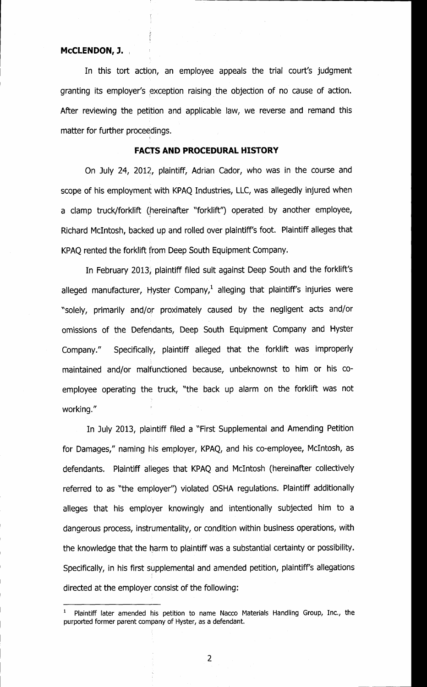#### **MCCLENDON, J.**

In this tort action, an employee appeals the trial court's judgment granting its employer's exception raising the objection of no cause of action. After reviewing the petition and applicable law, we reverse and remand this matter for further proceedings.

#### **FACTS AND PROCEDURAL HISTORY**

On July 24, 2012, plaintiff, Adrian Cador, who was in the course and scope of his employment with KPAQ Industries, LLC, was allegedly injured when a clamp truck/forklift (hereinafter "forklift'') operated. by another employee, Richard McIntosh, backed up and rolled over plaintiff's foot. Plaintiff alleges that KPAQ rented the forklift from Deep South Equipment Company.

In February 2013, plaintiff filed suit against Deep South and the forklift's alleged manufacturer, Hyster Company,<sup>1</sup> alleging that plaintiff's injuries were "solely, primarily and/or proximately caused by the negligent acts and/or omissions of the Defendants, Deep South Equipment Company and Hyster Company." Specifically, plaintiff alleged that the forklift was improperly maintained and/or malfunctioned because, unbeknownst to him or his coemployee operating the truck, "the back up alarm on the forklift was not working."

In July 2013, plaintiff filed a "First Supplemental and Amending Petition for Damages," naming his employer, KPAQ, and his co-employee, McIntosh, as defendants. Plaintiff alleges that KPAQ and Mcintosh (hereinafter collectively referred to as "the employer'') violated OSHA regulations. Plaintiff additionally alleges that his employer knowingly and intentionally subjected him to a dangerous process, instrumentality, or condition within business operations, with the knowledge that the harm to plaintiff was a substantial certainty or possibility. Specifically, in his first supplemental and amended petition, plaintiff's allegations directed at the employer consist of the following:

<sup>1</sup>Plaintiff later amended his petition to name Nacco Materials Handling Group, Inc., the purported former parent company of Hyster, as a defendant.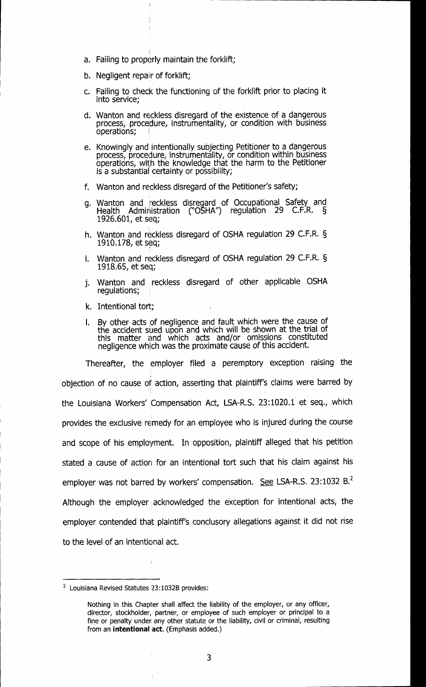- a. Failing to properly maintain the forklift;
- b. Negligent repair of forklift;
- c. Failing to check the functioning of the forklift prior to placing it into service;
- d. Wanton and reckless disregard of the existence of a dangerous process, procedure, instrumentality, or condition with business operations;
- e. Knowingly and intentionally subjecting Petitioner to a dangerous process, procedure, instrumentality, or condition within business operations, with the knowledge that the harm to the Petitioner is a substantial certainty or possibility;
- f. Wanton and reckless disregard of the Petitioner's safety;
- g. Wanton and reckless disregard of Occupational Safety and Health Admir1istration ['OSHA'') regulation 29 C.F.R. § 1926.601, et seq;
- h. Wanton and reckless disregard of OSHA regulation 29 C.F.R. § 1910.178, et seq;
- i. Wanton and reckless disregard of OSHA regulation 29 C.F.R. § 1918.65, et seq;
- j. Wanton and reckless disregard of other applicable OSHA regulations;
- k. Intentional tort;
- I. By other acts of negligence and fault which were the cause of the accident sued upon and which will be shown at the trial of this matter and which acts and/or omissions constituted negligence which was the proximate cause of this accident.

Thereafter, the employer filed a peremptory exception raising the objection of no cause of action, asserting that plaintiff's claims were barred by the Louisiana Workers' Compensation Act, LSA-R.S. 23:1020.1 et seq., which provides the exclusive remedy for an employee who is injured during the course and scope of his employment. In opposition, plaintiff alleged that his petition stated a cause of action for an intentional tort such that his claim against his employer was not barred by workers' compensation. See LSA-R.S. 23:1032 B.<sup>2</sup> Although the employer. acknowledged the exception for intentional acts, the employer contended that plaintiff's conclusory allegations against it did not rise to the level of an intentional act.

 $2$  Louisiana Revised Statutes  $23:1032B$  provides:

Nothing in this Chapter shall affect the liability of the employer, or any officer, director, stockholder, partner, or employee of such employer or principal to a fine or penalty under any other statute or the liability, civil or criminal, resulting from an **intentional** act. (Emphasis added.)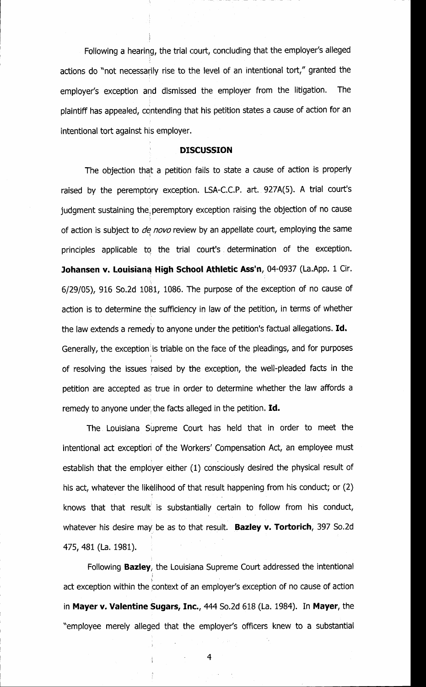Following a hearing, the trial court, concluding that the employer's alleged actions do "not necessarily rise to the level of an intentional tort," granted the employer's exception and dismissed the employer from the litigation. The plaintiff has appealed, contending that his petition states a cause of action for an intentional tort against his employer.

#### **DISCUSSION**

The objection that a petition fails to state a cause of action is properly raised by the peremptory exception. LSA-C.C.P. art. 927A(S). A trial court's judgment sustaining the peremptory exception raising the objection of no cause of action is subject to *de novo* review by an appellate court, employing the same principles applicable to the trial court's determination of the exception. Johansen v. Louisiana High School Athletic Ass'n, 04-0937 (La.App. 1 Cir. 6/29/05), 916 So.2d 1081, 1086. The purpose of the exception of no cause of action is to determine the sufficiency in law of the petition, in terms of whether the law extends a remedy to anyone under the petition's factual allegations. **Id.**  Generally, the exception is triable on the face of the pleadings, and for purposes ' of resolving the issues "raised by the exception, the well-pleaded facts in the petition are accepted as true in order to determine whether the law affords a remedy to anyone under the facts alleged in the petition. Id.

The Louisiana Supreme Court has held that in order to meet the intentional act exception of the Workers' Compensation Act, an employee must establish that the employer either (1) consciously desired the physical result of his act, whatever the likelihood of that result happening from his conduct; or (2) ' knows that that result is substantially certain to follow from his conduct, whatever his desire may be as to that result. **Bazley v. Tortorich,** 397 So.2d 475, 481 (La. 1981).

Following **Bazley,** the Louisiana Supreme Court addressed the intentional *i·*  act exception within the context of an employer's exception of no cause of action in **Mayer v. Valentine Sugars, Inc.,** 444 So.2d 618 (La. 1984). In **Mayer,** the "employee merely alleged that the employer's officers knew to a substantial

4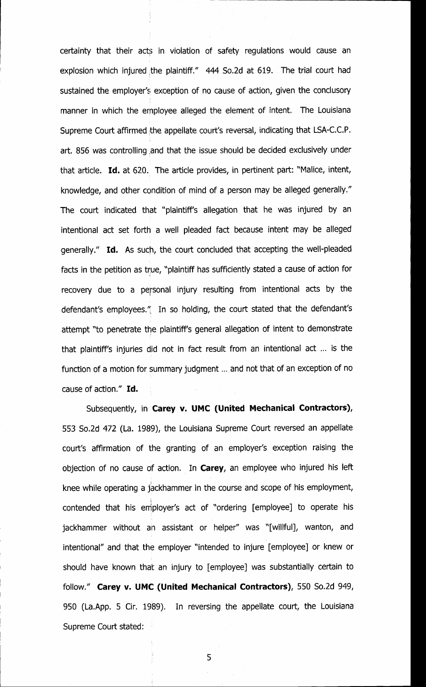certainty that their acts in violation of safety regulations would cause an explosion which injured the plaintiff."  $444$  So.2d at 619. The trial court had sustained the employer's exception of no cause of action, given the conclusory manner in which the employee alleged the element of intent. The Louisiana Supreme Court affirmed the appellate court's reversal, indicating that LSA-C.C.P. art. 856 was controlling and that the issue should be decided exclusively under that article. Id. at 620. The article provides, in pertinent part: "Malice, intent, knowledge, and other condition of mind of a person may be alleged generally." The court indicated that "plaintiff's allegation that he was injured by an intentional act set forth a well pleaded fact because intent may be alleged generally." Id. As such, the court concluded that accepting the well-pleaded facts in the petition as true, "plaintiff has sufficiently stated a cause of action for recovery due to a personal injury resulting from intentional acts by the defendant's employees.''; In so holding, the court stated that the defendant's attempt "to penetrate the plaintiff's general allegation of intent to demonstrate that plaintiff's injuries did not in fact result from an intentional act ... is the function of a motion for summary judgment ... and not that of an exception of no cause of action." Id.

Subsequently, in **Carey v. UMC (United Mechanical Contractors),**  553 So.2d 472 (La. 1989), the Louisiana Supreme Court reversed an appellate court's affirmation of the granting of an employer's exception raising the objection of no cause of action. In **Carey,** an employee who injured his left knee while operating a jackhammer in the course and scope of his employment, contended that his employer's act of "ordering [employee] to operate his jackhammer without an assistant or helper" was "[willful], wanton, and intentional" and that the employer "intended to injure [employee] or knew or should have known that an injury to [employee] was substantially certain to follow." **Carey v. UMC (United Mechanical Contractors),** 550 So.2d 949, 950 (La.App. 5 Cir. 1989). In reversing the appellate court, the Louisiana Supreme Court stated:

5